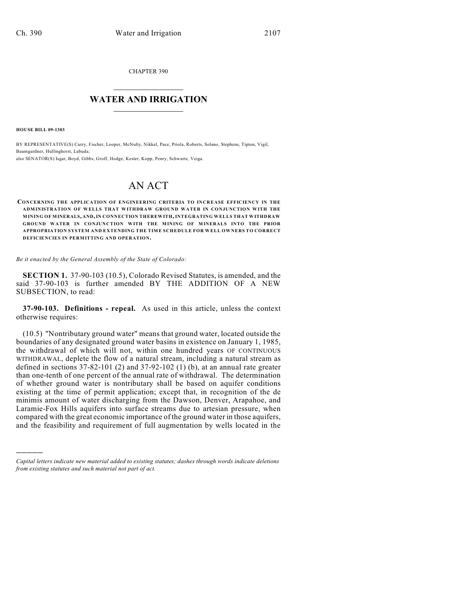CHAPTER 390

## $\mathcal{L}_\text{max}$  . The set of the set of the set of the set of the set of the set of the set of the set of the set of the set of the set of the set of the set of the set of the set of the set of the set of the set of the set **WATER AND IRRIGATION**  $\_$   $\_$

**HOUSE BILL 09-1303**

)))))

BY REPRESENTATIVE(S) Curry, Fischer, Looper, McNulty, Nikkel, Pace, Priola, Roberts, Solano, Stephens, Tipton, Vigil, Baumgardner, Hullinghorst, Labuda; also SENATOR(S) Isgar, Boyd, Gibbs, Groff, Hodge, Kester, Kopp, Penry, Schwartz, Veiga.

## AN ACT

**CONCERNING THE APPLICATION OF ENGINEERING CRITERIA TO INCREASE EFFICIENCY IN THE ADMINISTRATION OF WELLS THAT WITHDRAW GROUND WATER IN CONJUNCTION WITH THE MINING OF MINERALS, AND, IN CONNECTION THEREWITH, INTEGRATING WELLS THAT WITHDRAW GROUND WATER IN CONJUNCTION WITH THE MINING OF MINERALS INTO THE PRIOR APPROPRIATION SYSTEM AND EXTENDING THE TIME SCHEDULE FOR WELL OWNERS TO CORRECT DEFICIENCIES IN PERMITTING AND OPERATION.**

*Be it enacted by the General Assembly of the State of Colorado:*

**SECTION 1.** 37-90-103 (10.5), Colorado Revised Statutes, is amended, and the said 37-90-103 is further amended BY THE ADDITION OF A NEW SUBSECTION, to read:

**37-90-103. Definitions - repeal.** As used in this article, unless the context otherwise requires:

(10.5) "Nontributary ground water" means that ground water, located outside the boundaries of any designated ground water basins in existence on January 1, 1985, the withdrawal of which will not, within one hundred years OF CONTINUOUS WITHDRAWAL, deplete the flow of a natural stream, including a natural stream as defined in sections 37-82-101 (2) and 37-92-102 (1) (b), at an annual rate greater than one-tenth of one percent of the annual rate of withdrawal. The determination of whether ground water is nontributary shall be based on aquifer conditions existing at the time of permit application; except that, in recognition of the de minimis amount of water discharging from the Dawson, Denver, Arapahoe, and Laramie-Fox Hills aquifers into surface streams due to artesian pressure, when compared with the great economic importance of the ground water in those aquifers, and the feasibility and requirement of full augmentation by wells located in the

*Capital letters indicate new material added to existing statutes; dashes through words indicate deletions from existing statutes and such material not part of act.*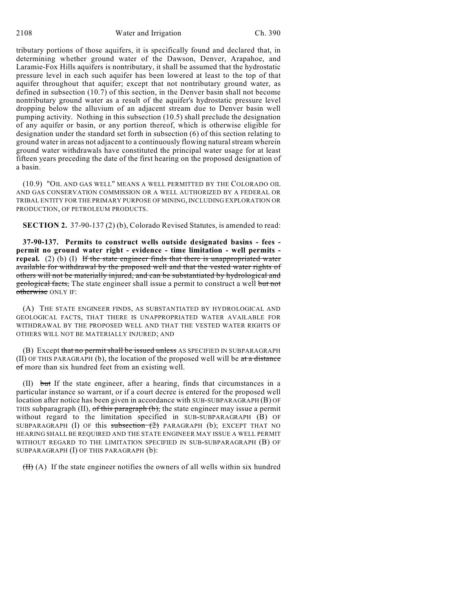2108 Water and Irrigation Ch. 390

tributary portions of those aquifers, it is specifically found and declared that, in determining whether ground water of the Dawson, Denver, Arapahoe, and Laramie-Fox Hills aquifers is nontributary, it shall be assumed that the hydrostatic pressure level in each such aquifer has been lowered at least to the top of that aquifer throughout that aquifer; except that not nontributary ground water, as defined in subsection (10.7) of this section, in the Denver basin shall not become nontributary ground water as a result of the aquifer's hydrostatic pressure level dropping below the alluvium of an adjacent stream due to Denver basin well pumping activity. Nothing in this subsection (10.5) shall preclude the designation of any aquifer or basin, or any portion thereof, which is otherwise eligible for designation under the standard set forth in subsection (6) of this section relating to ground water in areas not adjacent to a continuously flowing natural stream wherein ground water withdrawals have constituted the principal water usage for at least fifteen years preceding the date of the first hearing on the proposed designation of a basin.

(10.9) "OIL AND GAS WELL" MEANS A WELL PERMITTED BY THE COLORADO OIL AND GAS CONSERVATION COMMISSION OR A WELL AUTHORIZED BY A FEDERAL OR TRIBAL ENTITY FOR THE PRIMARY PURPOSE OF MINING, INCLUDING EXPLORATION OR PRODUCTION, OF PETROLEUM PRODUCTS.

**SECTION 2.** 37-90-137 (2) (b), Colorado Revised Statutes, is amended to read:

**37-90-137. Permits to construct wells outside designated basins - fees permit no ground water right - evidence - time limitation - well permits repeal.** (2) (b) (I) If the state engineer finds that there is unappropriated water available for withdrawal by the proposed well and that the vested water rights of others will not be materially injured, and can be substantiated by hydrological and geological facts, The state engineer shall issue a permit to construct a well but not otherwise ONLY IF:

(A) THE STATE ENGINEER FINDS, AS SUBSTANTIATED BY HYDROLOGICAL AND GEOLOGICAL FACTS, THAT THERE IS UNAPPROPRIATED WATER AVAILABLE FOR WITHDRAWAL BY THE PROPOSED WELL AND THAT THE VESTED WATER RIGHTS OF OTHERS WILL NOT BE MATERIALLY INJURED; AND

(B) Except that no permit shall be issued unless AS SPECIFIED IN SUBPARAGRAPH (II) OF THIS PARAGRAPH (b), the location of the proposed well will be  $a$ t a distance of more than six hundred feet from an existing well.

(II) but If the state engineer, after a hearing, finds that circumstances in a particular instance so warrant, or if a court decree is entered for the proposed well location after notice has been given in accordance with SUB-SUBPARAGRAPH (B) OF THIS subparagraph  $(II)$ , of this paragraph  $(b)$ , the state engineer may issue a permit without regard to the limitation specified in SUB-SUBPARAGRAPH (B) OF SUBPARAGRAPH (I) OF this subsection  $(2)$  PARAGRAPH (b); EXCEPT THAT NO HEARING SHALL BE REQUIRED AND THE STATE ENGINEER MAY ISSUE A WELL PERMIT WITHOUT REGARD TO THE LIMITATION SPECIFIED IN SUB-SUBPARAGRAPH (B) OF SUBPARAGRAPH (I) OF THIS PARAGRAPH (b):

 $(H)$  (A) If the state engineer notifies the owners of all wells within six hundred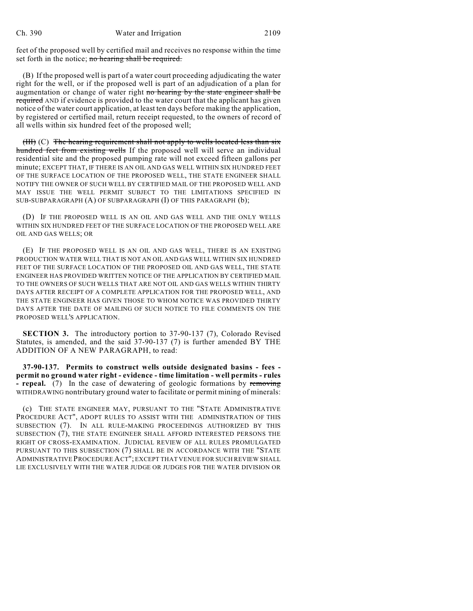feet of the proposed well by certified mail and receives no response within the time set forth in the notice; no hearing shall be required.

(B) If the proposed well is part of a water court proceeding adjudicating the water right for the well, or if the proposed well is part of an adjudication of a plan for augmentation or change of water right no hearing by the state engineer shall be required AND if evidence is provided to the water court that the applicant has given notice of the water court application, at least ten days before making the application, by registered or certified mail, return receipt requested, to the owners of record of all wells within six hundred feet of the proposed well;

(III) (C) The hearing requirement shall not apply to wells located less than  $s\bar{x}$ hundred feet from existing wells If the proposed well will serve an individual residential site and the proposed pumping rate will not exceed fifteen gallons per minute; EXCEPT THAT, IF THERE IS AN OIL AND GAS WELL WITHIN SIX HUNDRED FEET OF THE SURFACE LOCATION OF THE PROPOSED WELL, THE STATE ENGINEER SHALL NOTIFY THE OWNER OF SUCH WELL BY CERTIFIED MAIL OF THE PROPOSED WELL AND MAY ISSUE THE WELL PERMIT SUBJECT TO THE LIMITATIONS SPECIFIED IN SUB-SUBPARAGRAPH (A) OF SUBPARAGRAPH (I) OF THIS PARAGRAPH (b);

(D) IF THE PROPOSED WELL IS AN OIL AND GAS WELL AND THE ONLY WELLS WITHIN SIX HUNDRED FEET OF THE SURFACE LOCATION OF THE PROPOSED WELL ARE OIL AND GAS WELLS; OR

(E) IF THE PROPOSED WELL IS AN OIL AND GAS WELL, THERE IS AN EXISTING PRODUCTION WATER WELL THAT IS NOT AN OIL AND GAS WELL WITHIN SIX HUNDRED FEET OF THE SURFACE LOCATION OF THE PROPOSED OIL AND GAS WELL, THE STATE ENGINEER HAS PROVIDED WRITTEN NOTICE OF THE APPLICATION BY CERTIFIED MAIL TO THE OWNERS OF SUCH WELLS THAT ARE NOT OIL AND GAS WELLS WITHIN THIRTY DAYS AFTER RECEIPT OF A COMPLETE APPLICATION FOR THE PROPOSED WELL, AND THE STATE ENGINEER HAS GIVEN THOSE TO WHOM NOTICE WAS PROVIDED THIRTY DAYS AFTER THE DATE OF MAILING OF SUCH NOTICE TO FILE COMMENTS ON THE PROPOSED WELL'S APPLICATION.

**SECTION 3.** The introductory portion to 37-90-137 (7), Colorado Revised Statutes, is amended, and the said 37-90-137 (7) is further amended BY THE ADDITION OF A NEW PARAGRAPH, to read:

**37-90-137. Permits to construct wells outside designated basins - fees permit no ground water right - evidence - time limitation - well permits - rules - repeal.** (7) In the case of dewatering of geologic formations by removing WITHDRAWING nontributary ground water to facilitate or permit mining of minerals:

(c) THE STATE ENGINEER MAY, PURSUANT TO THE "STATE ADMINISTRATIVE PROCEDURE ACT", ADOPT RULES TO ASSIST WITH THE ADMINISTRATION OF THIS SUBSECTION (7). IN ALL RULE-MAKING PROCEEDINGS AUTHORIZED BY THIS SUBSECTION (7), THE STATE ENGINEER SHALL AFFORD INTERESTED PERSONS THE RIGHT OF CROSS-EXAMINATION. JUDICIAL REVIEW OF ALL RULES PROMULGATED PURSUANT TO THIS SUBSECTION (7) SHALL BE IN ACCORDANCE WITH THE "STATE ADMINISTRATIVE PROCEDURE ACT"; EXCEPT THAT VENUE FOR SUCH REVIEW SHALL LIE EXCLUSIVELY WITH THE WATER JUDGE OR JUDGES FOR THE WATER DIVISION OR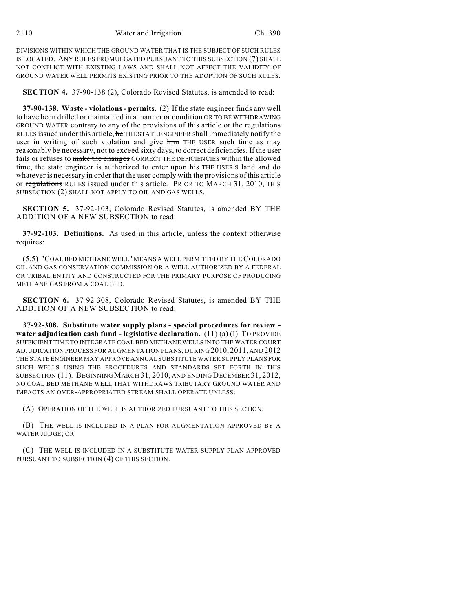DIVISIONS WITHIN WHICH THE GROUND WATER THAT IS THE SUBJECT OF SUCH RULES IS LOCATED. ANY RULES PROMULGATED PURSUANT TO THIS SUBSECTION (7) SHALL NOT CONFLICT WITH EXISTING LAWS AND SHALL NOT AFFECT THE VALIDITY OF GROUND WATER WELL PERMITS EXISTING PRIOR TO THE ADOPTION OF SUCH RULES.

**SECTION 4.** 37-90-138 (2), Colorado Revised Statutes, is amended to read:

**37-90-138. Waste - violations - permits.** (2) If the state engineer finds any well to have been drilled or maintained in a manner or condition OR TO BE WITHDRAWING GROUND WATER contrary to any of the provisions of this article or the regulations RULES issued under this article, he THE STATE ENGINEER shall immediately notify the user in writing of such violation and give him THE USER such time as may reasonably be necessary, not to exceed sixty days, to correct deficiencies. If the user fails or refuses to make the changes CORRECT THE DEFICIENCIES within the allowed time, the state engineer is authorized to enter upon his THE USER's land and do whatever is necessary in order that the user comply with the provisions of this article or regulations RULES issued under this article. PRIOR TO MARCH 31, 2010, THIS SUBSECTION (2) SHALL NOT APPLY TO OIL AND GAS WELLS.

**SECTION 5.** 37-92-103, Colorado Revised Statutes, is amended BY THE ADDITION OF A NEW SUBSECTION to read:

**37-92-103. Definitions.** As used in this article, unless the context otherwise requires:

(5.5) "COAL BED METHANE WELL" MEANS A WELL PERMITTED BY THE COLORADO OIL AND GAS CONSERVATION COMMISSION OR A WELL AUTHORIZED BY A FEDERAL OR TRIBAL ENTITY AND CONSTRUCTED FOR THE PRIMARY PURPOSE OF PRODUCING METHANE GAS FROM A COAL BED.

**SECTION 6.** 37-92-308, Colorado Revised Statutes, is amended BY THE ADDITION OF A NEW SUBSECTION to read:

**37-92-308. Substitute water supply plans - special procedures for review water adjudication cash fund - legislative declaration.** (11) (a) (I) TO PROVIDE SUFFICIENT TIME TO INTEGRATE COAL BED METHANE WELLS INTO THE WATER COURT ADJUDICATION PROCESS FOR AUGMENTATION PLANS, DURING 2010, 2011, AND 2012 THE STATE ENGINEER MAY APPROVE ANNUAL SUBSTITUTE WATER SUPPLY PLANS FOR SUCH WELLS USING THE PROCEDURES AND STANDARDS SET FORTH IN THIS SUBSECTION (11). BEGINNING MARCH 31, 2010, AND ENDING DECEMBER 31, 2012, NO COAL BED METHANE WELL THAT WITHDRAWS TRIBUTARY GROUND WATER AND IMPACTS AN OVER-APPROPRIATED STREAM SHALL OPERATE UNLESS:

(A) OPERATION OF THE WELL IS AUTHORIZED PURSUANT TO THIS SECTION;

(B) THE WELL IS INCLUDED IN A PLAN FOR AUGMENTATION APPROVED BY A WATER JUDGE; OR

(C) THE WELL IS INCLUDED IN A SUBSTITUTE WATER SUPPLY PLAN APPROVED PURSUANT TO SUBSECTION (4) OF THIS SECTION.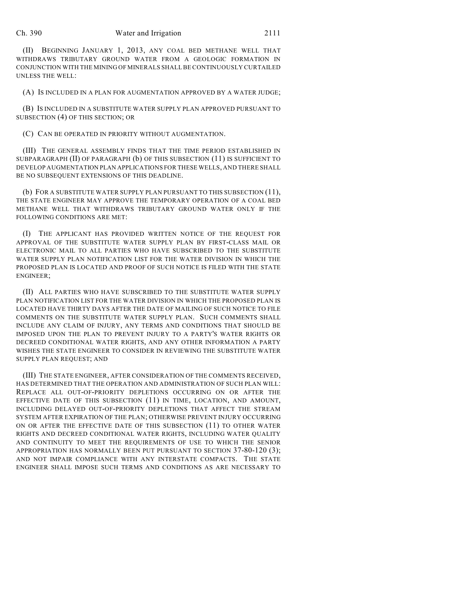(II) BEGINNING JANUARY 1, 2013, ANY COAL BED METHANE WELL THAT WITHDRAWS TRIBUTARY GROUND WATER FROM A GEOLOGIC FORMATION IN CONJUNCTION WITH THE MINING OF MINERALS SHALL BE CONTINUOUSLY CURTAILED UNLESS THE WELL:

(A) IS INCLUDED IN A PLAN FOR AUGMENTATION APPROVED BY A WATER JUDGE;

(B) IS INCLUDED IN A SUBSTITUTE WATER SUPPLY PLAN APPROVED PURSUANT TO SUBSECTION (4) OF THIS SECTION; OR

(C) CAN BE OPERATED IN PRIORITY WITHOUT AUGMENTATION.

(III) THE GENERAL ASSEMBLY FINDS THAT THE TIME PERIOD ESTABLISHED IN SUBPARAGRAPH (II) OF PARAGRAPH (b) OF THIS SUBSECTION (11) IS SUFFICIENT TO DEVELOP AUGMENTATION PLAN APPLICATIONS FOR THESE WELLS, AND THERE SHALL BE NO SUBSEQUENT EXTENSIONS OF THIS DEADLINE.

(b) FOR A SUBSTITUTE WATER SUPPLY PLAN PURSUANT TO THIS SUBSECTION (11), THE STATE ENGINEER MAY APPROVE THE TEMPORARY OPERATION OF A COAL BED METHANE WELL THAT WITHDRAWS TRIBUTARY GROUND WATER ONLY IF THE FOLLOWING CONDITIONS ARE MET:

(I) THE APPLICANT HAS PROVIDED WRITTEN NOTICE OF THE REQUEST FOR APPROVAL OF THE SUBSTITUTE WATER SUPPLY PLAN BY FIRST-CLASS MAIL OR ELECTRONIC MAIL TO ALL PARTIES WHO HAVE SUBSCRIBED TO THE SUBSTITUTE WATER SUPPLY PLAN NOTIFICATION LIST FOR THE WATER DIVISION IN WHICH THE PROPOSED PLAN IS LOCATED AND PROOF OF SUCH NOTICE IS FILED WITH THE STATE ENGINEER;

(II) ALL PARTIES WHO HAVE SUBSCRIBED TO THE SUBSTITUTE WATER SUPPLY PLAN NOTIFICATION LIST FOR THE WATER DIVISION IN WHICH THE PROPOSED PLAN IS LOCATED HAVE THIRTY DAYS AFTER THE DATE OF MAILING OF SUCH NOTICE TO FILE COMMENTS ON THE SUBSTITUTE WATER SUPPLY PLAN. SUCH COMMENTS SHALL INCLUDE ANY CLAIM OF INJURY, ANY TERMS AND CONDITIONS THAT SHOULD BE IMPOSED UPON THE PLAN TO PREVENT INJURY TO A PARTY'S WATER RIGHTS OR DECREED CONDITIONAL WATER RIGHTS, AND ANY OTHER INFORMATION A PARTY WISHES THE STATE ENGINEER TO CONSIDER IN REVIEWING THE SUBSTITUTE WATER SUPPLY PLAN REQUEST; AND

(III) THE STATE ENGINEER, AFTER CONSIDERATION OF THE COMMENTS RECEIVED, HAS DETERMINED THAT THE OPERATION AND ADMINISTRATION OF SUCH PLAN WILL: REPLACE ALL OUT-OF-PRIORITY DEPLETIONS OCCURRING ON OR AFTER THE EFFECTIVE DATE OF THIS SUBSECTION (11) IN TIME, LOCATION, AND AMOUNT, INCLUDING DELAYED OUT-OF-PRIORITY DEPLETIONS THAT AFFECT THE STREAM SYSTEM AFTER EXPIRATION OF THE PLAN; OTHERWISE PREVENT INJURY OCCURRING ON OR AFTER THE EFFECTIVE DATE OF THIS SUBSECTION (11) TO OTHER WATER RIGHTS AND DECREED CONDITIONAL WATER RIGHTS, INCLUDING WATER QUALITY AND CONTINUITY TO MEET THE REQUIREMENTS OF USE TO WHICH THE SENIOR APPROPRIATION HAS NORMALLY BEEN PUT PURSUANT TO SECTION 37-80-120 (3); AND NOT IMPAIR COMPLIANCE WITH ANY INTERSTATE COMPACTS. THE STATE ENGINEER SHALL IMPOSE SUCH TERMS AND CONDITIONS AS ARE NECESSARY TO